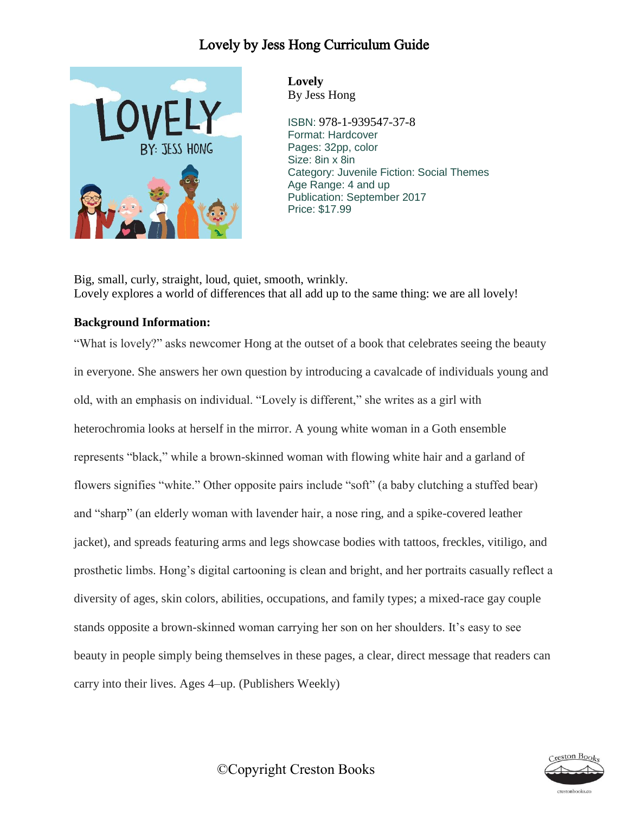

**Lovely** By Jess Hong

ISBN: 978-1-939547-37-8 Format: Hardcover Pages: 32pp, color Size: 8in x 8in Category: Juvenile Fiction: Social Themes Age Range: 4 and up Publication: September 2017 Price: \$17.99

Big, small, curly, straight, loud, quiet, smooth, wrinkly. Lovely explores a world of differences that all add up to the same thing: we are all lovely!

#### **Background Information:**

"What is lovely?" asks newcomer Hong at the outset of a book that celebrates seeing the beauty in everyone. She answers her own question by introducing a cavalcade of individuals young and old, with an emphasis on individual. "Lovely is different," she writes as a girl with heterochromia looks at herself in the mirror. A young white woman in a Goth ensemble represents "black," while a brown-skinned woman with flowing white hair and a garland of flowers signifies "white." Other opposite pairs include "soft" (a baby clutching a stuffed bear) and "sharp" (an elderly woman with lavender hair, a nose ring, and a spike-covered leather jacket), and spreads featuring arms and legs showcase bodies with tattoos, freckles, vitiligo, and prosthetic limbs. Hong's digital cartooning is clean and bright, and her portraits casually reflect a diversity of ages, skin colors, abilities, occupations, and family types; a mixed-race gay couple stands opposite a brown-skinned woman carrying her son on her shoulders. It's easy to see beauty in people simply being themselves in these pages, a clear, direct message that readers can carry into their lives. Ages 4–up. (Publishers Weekly)



©Copyright Creston Books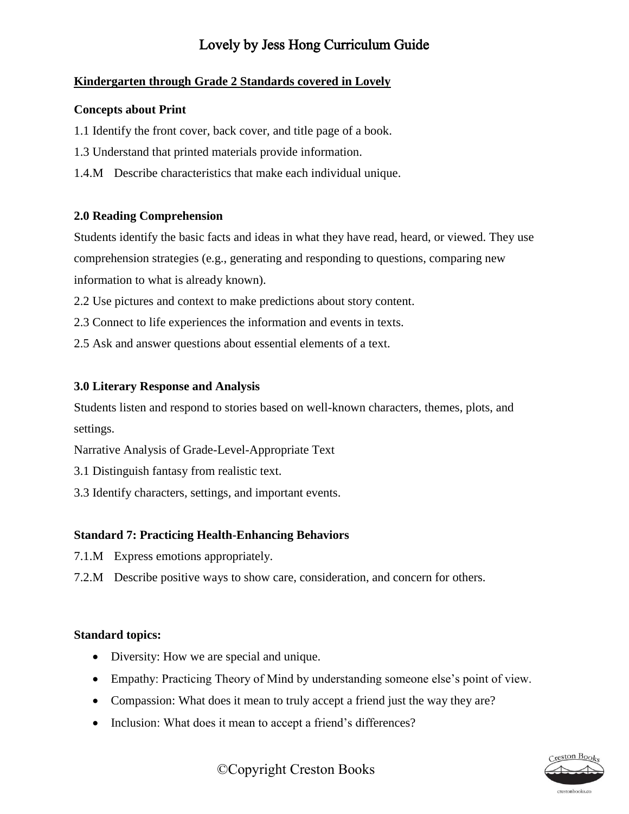## **Kindergarten through Grade 2 Standards covered in Lovely**

#### **Concepts about Print**

- 1.1 Identify the front cover, back cover, and title page of a book.
- 1.3 Understand that printed materials provide information.
- 1.4.M Describe characteristics that make each individual unique.

#### **2.0 Reading Comprehension**

Students identify the basic facts and ideas in what they have read, heard, or viewed. They use comprehension strategies (e.g., generating and responding to questions, comparing new information to what is already known).

- 2.2 Use pictures and context to make predictions about story content.
- 2.3 Connect to life experiences the information and events in texts.
- 2.5 Ask and answer questions about essential elements of a text.

#### **3.0 Literary Response and Analysis**

Students listen and respond to stories based on well-known characters, themes, plots, and settings.

Narrative Analysis of Grade-Level-Appropriate Text

- 3.1 Distinguish fantasy from realistic text.
- 3.3 Identify characters, settings, and important events.

## **Standard 7: Practicing Health-Enhancing Behaviors**

- 7.1.M Express emotions appropriately.
- 7.2.M Describe positive ways to show care, consideration, and concern for others.

#### **Standard topics:**

- Diversity: How we are special and unique.
- Empathy: Practicing Theory of Mind by understanding someone else's point of view.
- Compassion: What does it mean to truly accept a friend just the way they are?
- Inclusion: What does it mean to accept a friend's differences?



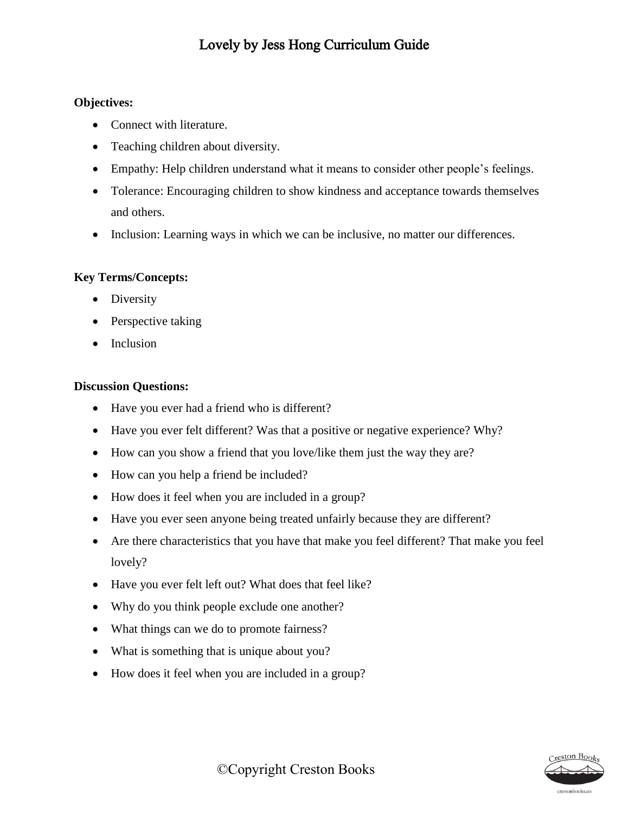#### **Objectives:**

- Connect with literature.
- Teaching children about diversity.
- Empathy: Help children understand what it means to consider other people's feelings.
- Tolerance: Encouraging children to show kindness and acceptance towards themselves and others.
- Inclusion: Learning ways in which we can be inclusive, no matter our differences.

## **Key Terms/Concepts:**

- Diversity
- Perspective taking
- Inclusion

#### **Discussion Questions:**

- Have you ever had a friend who is different?
- Have you ever felt different? Was that a positive or negative experience? Why?
- How can you show a friend that you love/like them just the way they are?
- How can you help a friend be included?
- How does it feel when you are included in a group?
- Have you ever seen anyone being treated unfairly because they are different?
- Are there characteristics that you have that make you feel different? That make you feel lovely?
- Have you ever felt left out? What does that feel like?
- Why do you think people exclude one another?
- What things can we do to promote fairness?
- What is something that is unique about you?
- How does it feel when you are included in a group?

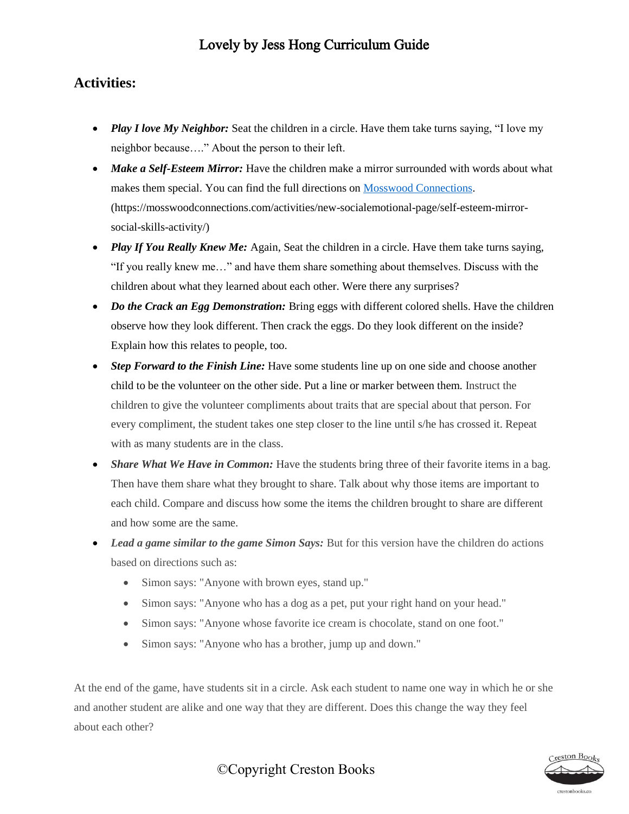## **Activities:**

- *Play I love My Neighbor:* Seat the children in a circle. Have them take turns saying, "I love my neighbor because…." About the person to their left.
- Make a Self-Esteem Mirror: Have the children make a mirror surrounded with words about what makes them special. You can find the full directions on [Mosswood Connections.](https://mosswoodconnections.com/activities/new-socialemotional-page/self-esteem-mirror-social-skills-activity/) (https://mosswoodconnections.com/activities/new-socialemotional-page/self-esteem-mirrorsocial-skills-activity/)
- *Play If You Really Knew Me:* Again, Seat the children in a circle. Have them take turns saying, "If you really knew me…" and have them share something about themselves. Discuss with the children about what they learned about each other. Were there any surprises?
- *Do the Crack an Egg Demonstration:* Bring eggs with different colored shells. Have the children observe how they look different. Then crack the eggs. Do they look different on the inside? Explain how this relates to people, too.
- *Step Forward to the Finish Line:* Have some students line up on one side and choose another child to be the volunteer on the other side. Put a line or marker between them. Instruct the children to give the volunteer compliments about traits that are special about that person. For every compliment, the student takes one step closer to the line until s/he has crossed it. Repeat with as many students are in the class.
- *Share What We Have in Common:* Have the students bring three of their favorite items in a bag. Then have them share what they brought to share. Talk about why those items are important to each child. Compare and discuss how some the items the children brought to share are different and how some are the same.
- *Lead a game similar to the game Simon Says:* But for this version have the children do actions based on directions such as:
	- Simon says: "Anyone with brown eyes, stand up."
	- Simon says: "Anyone who has a dog as a pet, put your right hand on your head."
	- Simon says: "Anyone whose favorite ice cream is chocolate, stand on one foot."
	- Simon says: "Anyone who has a brother, jump up and down."

At the end of the game, have students sit in a circle. Ask each student to name one way in which he or she and another student are alike and one way that they are different. Does this change the way they feel about each other?



## ©Copyright Creston Books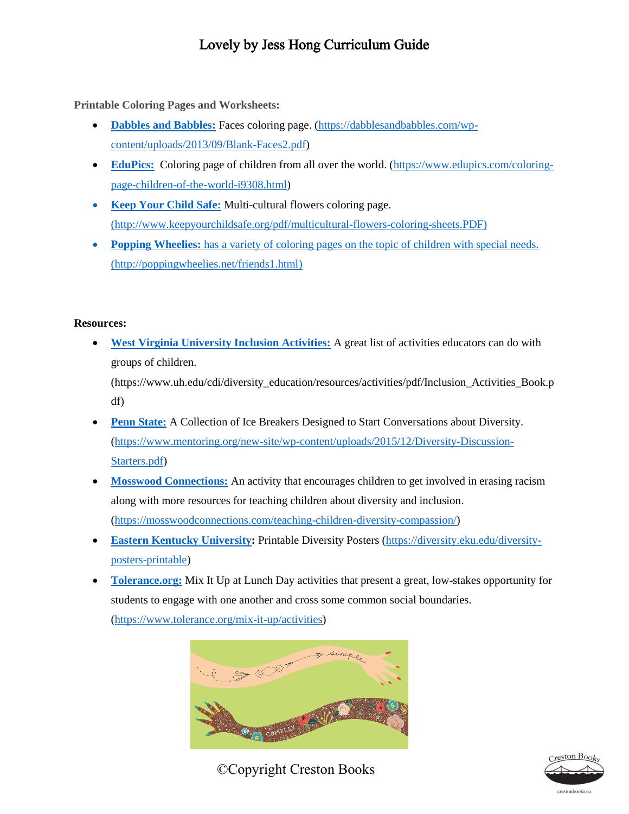**Printable Coloring Pages and Worksheets:**

- **[Dabbles and Babbles:](https://dabblesandbabbles.com/wp-content/uploads/2013/09/Blank-Faces2.pdf)** Faces coloring page. [\(https://dabblesandbabbles.com/wp](https://dabblesandbabbles.com/wp-content/uploads/2013/09/Blank-Faces2.pdf)[content/uploads/2013/09/Blank-Faces2.pdf\)](https://dabblesandbabbles.com/wp-content/uploads/2013/09/Blank-Faces2.pdf)
- **[EduPics:](https://www.edupics.com/coloring-page-children-of-the-world-i9308.html)** Coloring page of children from all over the world. [\(https://www.edupics.com/coloring](https://www.edupics.com/coloring-page-children-of-the-world-i9308.html)[page-children-of-the-world-i9308.html\)](https://www.edupics.com/coloring-page-children-of-the-world-i9308.html)
- **[Keep Your Child Safe:](http://www.keepyourchildsafe.org/pdf/multicultural-flowers-coloring-sheets.PDF)** Multi-cultural flowers coloring page. [\(http://www.keepyourchildsafe.org/pdf/multicultural-flowers-coloring-sheets.PDF\)](file:///C:/Users/Shelah/Documents/Creston%20Books/Lola%20and%20Bear/(http:/www.keepyourchildsafe.org/pdf/multicultural-flowers-coloring-sheets.PDF))
- **[Popping Wheelies:](http://poppingwheelies.net/friends1.html)** has a variety of coloring pages on the topic of children with special needs. [\(http://poppingwheelies.net/friends1.html\)](http://poppingwheelies.net/friends1.html)

#### **Resources:**

 **[West Virginia University Inclusion Activities:](https://www.uh.edu/cdi/diversity_education/resources/activities/pdf/Inclusion_Activities_Book.pdf)** A great list of activities educators can do with groups of children.

(https://www.uh.edu/cdi/diversity\_education/resources/activities/pdf/Inclusion\_Activities\_Book.p df)

- **[Penn State:](https://www.mentoring.org/new-site/wp-content/uploads/2015/12/Diversity-Discussion-Starters.pdf)** A Collection of Ice Breakers Designed to Start Conversations about Diversity. [\(https://www.mentoring.org/new-site/wp-content/uploads/2015/12/Diversity-Discussion-](https://www.mentoring.org/new-site/wp-content/uploads/2015/12/Diversity-Discussion-Starters.pdf)[Starters.pdf\)](https://www.mentoring.org/new-site/wp-content/uploads/2015/12/Diversity-Discussion-Starters.pdf)
- **[Mosswood Connections:](https://mosswoodconnections.com/teaching-children-diversity-compassion/)** An activity that encourages children to get involved in erasing racism along with more resources for teaching children about diversity and inclusion. [\(https://mosswoodconnections.com/teaching-children-diversity-compassion/\)](https://mosswoodconnections.com/teaching-children-diversity-compassion/)
- **[Eastern Kentucky University:](https://diversity.eku.edu/diversity-posters-printable)** Printable Diversity Posters [\(https://diversity.eku.edu/diversity](https://diversity.eku.edu/diversity-posters-printable)[posters-printable\)](https://diversity.eku.edu/diversity-posters-printable)
- **[Tolerance.org:](https://www.tolerance.org/mix-it-up/activities)** Mix It Up at Lunch Day activities that present a great, low-stakes opportunity for students to engage with one another and cross some common social boundaries.

[\(https://www.tolerance.org/mix-it-up/activities\)](https://www.tolerance.org/mix-it-up/activities)



©Copyright Creston Books



restonbooks.co